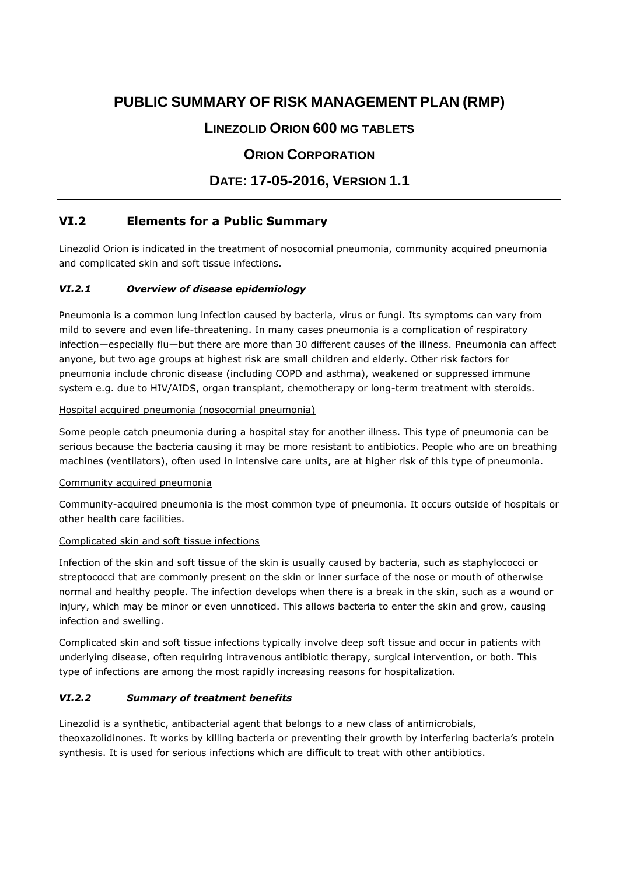# **PUBLIC SUMMARY OF RISK MANAGEMENT PLAN (RMP)**

# **LINEZOLID ORION 600 MG TABLETS**

# **ORION CORPORATION**

# **DATE: 17-05-2016, VERSION 1.1**

# **VI.2 Elements for a Public Summary**

Linezolid Orion is indicated in the treatment of nosocomial pneumonia, community acquired pneumonia and complicated skin and soft tissue infections.

## *VI.2.1 Overview of disease epidemiology*

Pneumonia is a common lung infection caused by bacteria, virus or fungi. Its symptoms can vary from mild to severe and even life-threatening. In many cases pneumonia is a complication of respiratory infection—especially flu—but there are more than 30 different causes of the illness. Pneumonia can affect anyone, but two age groups at highest risk are small children and elderly. Other risk factors for pneumonia include chronic disease (including COPD and asthma), weakened or suppressed immune system e.g. due to HIV/AIDS, organ transplant, chemotherapy or long-term treatment with steroids.

#### Hospital acquired pneumonia (nosocomial pneumonia)

Some people catch pneumonia during a hospital stay for another illness. This type of pneumonia can be serious because the bacteria causing it may be more resistant to antibiotics. People who are on breathing machines (ventilators), often used in intensive care units, are at higher risk of this type of pneumonia.

#### Community acquired pneumonia

Community-acquired pneumonia is the most common type of pneumonia. It occurs outside of hospitals or other health care facilities.

#### Complicated skin and soft tissue infections

Infection of the skin and soft tissue of the skin is usually caused by bacteria, such as staphylococci or streptococci that are commonly present on the skin or inner surface of the nose or mouth of otherwise normal and healthy people. The infection develops when there is a break in the skin, such as a wound or injury, which may be minor or even unnoticed. This allows bacteria to enter the skin and grow, causing infection and swelling.

Complicated skin and soft tissue infections typically involve deep soft tissue and occur in patients with underlying disease, often requiring intravenous antibiotic therapy, surgical intervention, or both. This type of infections are among the most rapidly increasing reasons for hospitalization.

#### *VI.2.2 Summary of treatment benefits*

Linezolid is a synthetic, antibacterial agent that belongs to a new class of antimicrobials, theoxazolidinones. It works by killing bacteria or preventing their growth by interfering bacteria's protein synthesis. It is used for serious infections which are difficult to treat with other antibiotics.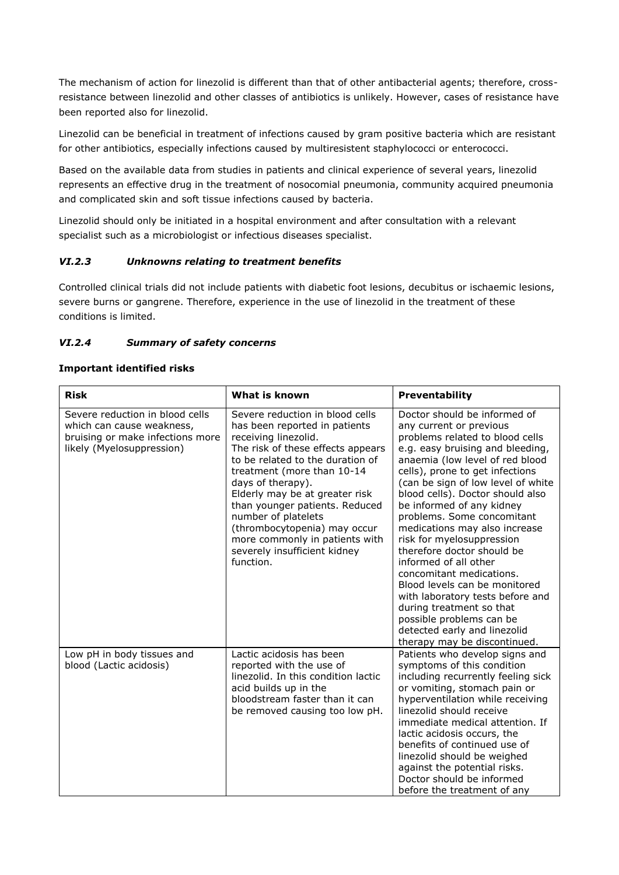The mechanism of action for linezolid is different than that of other antibacterial agents; therefore, crossresistance between linezolid and other classes of antibiotics is unlikely. However, cases of resistance have been reported also for linezolid.

Linezolid can be beneficial in treatment of infections caused by gram positive bacteria which are resistant for other antibiotics, especially infections caused by multiresistent staphylococci or enterococci.

Based on the available data from studies in patients and clinical experience of several years, linezolid represents an effective drug in the treatment of nosocomial pneumonia, community acquired pneumonia and complicated skin and soft tissue infections caused by bacteria.

Linezolid should only be initiated in a hospital environment and after consultation with a relevant specialist such as a microbiologist or infectious diseases specialist.

#### *VI.2.3 Unknowns relating to treatment benefits*

Controlled clinical trials did not include patients with diabetic foot lesions, decubitus or ischaemic lesions, severe burns or gangrene. Therefore, experience in the use of linezolid in the treatment of these conditions is limited.

#### *VI.2.4 Summary of safety concerns*

#### **Important identified risks**

| <b>Risk</b>                                                                                                                   | What is known                                                                                                                                                                                                                                                                                                                                                                                                                  | <b>Preventability</b>                                                                                                                                                                                                                                                                                                                                                                                                                                                                                                                                                                                                                                                                   |
|-------------------------------------------------------------------------------------------------------------------------------|--------------------------------------------------------------------------------------------------------------------------------------------------------------------------------------------------------------------------------------------------------------------------------------------------------------------------------------------------------------------------------------------------------------------------------|-----------------------------------------------------------------------------------------------------------------------------------------------------------------------------------------------------------------------------------------------------------------------------------------------------------------------------------------------------------------------------------------------------------------------------------------------------------------------------------------------------------------------------------------------------------------------------------------------------------------------------------------------------------------------------------------|
| Severe reduction in blood cells<br>which can cause weakness,<br>bruising or make infections more<br>likely (Myelosuppression) | Severe reduction in blood cells<br>has been reported in patients<br>receiving linezolid.<br>The risk of these effects appears<br>to be related to the duration of<br>treatment (more than 10-14<br>days of therapy).<br>Elderly may be at greater risk<br>than younger patients. Reduced<br>number of platelets<br>(thrombocytopenia) may occur<br>more commonly in patients with<br>severely insufficient kidney<br>function. | Doctor should be informed of<br>any current or previous<br>problems related to blood cells<br>e.g. easy bruising and bleeding,<br>anaemia (low level of red blood<br>cells), prone to get infections<br>(can be sign of low level of white<br>blood cells). Doctor should also<br>be informed of any kidney<br>problems. Some concomitant<br>medications may also increase<br>risk for myelosuppression<br>therefore doctor should be<br>informed of all other<br>concomitant medications.<br>Blood levels can be monitored<br>with laboratory tests before and<br>during treatment so that<br>possible problems can be<br>detected early and linezolid<br>therapy may be discontinued. |
| Low pH in body tissues and<br>blood (Lactic acidosis)                                                                         | Lactic acidosis has been<br>reported with the use of<br>linezolid. In this condition lactic<br>acid builds up in the<br>bloodstream faster than it can<br>be removed causing too low pH.                                                                                                                                                                                                                                       | Patients who develop signs and<br>symptoms of this condition<br>including recurrently feeling sick<br>or vomiting, stomach pain or<br>hyperventilation while receiving<br>linezolid should receive<br>immediate medical attention. If<br>lactic acidosis occurs, the<br>benefits of continued use of<br>linezolid should be weighed<br>against the potential risks.<br>Doctor should be informed<br>before the treatment of any                                                                                                                                                                                                                                                         |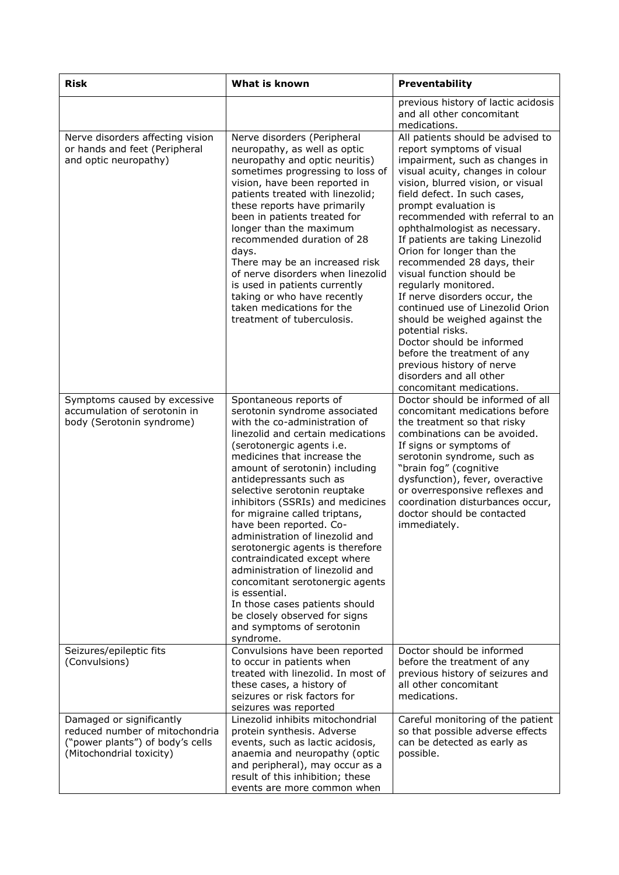| <b>Risk</b>                                                                                                                | What is known                                                                                                                                                                                                                                                                                                                                                                                                                                                                                                                                                                                                                                                                                     | Preventability                                                                                                                                                                                                                                                                                                                                                                                                                                                                                                                                                                                                                                                                                                                      |
|----------------------------------------------------------------------------------------------------------------------------|---------------------------------------------------------------------------------------------------------------------------------------------------------------------------------------------------------------------------------------------------------------------------------------------------------------------------------------------------------------------------------------------------------------------------------------------------------------------------------------------------------------------------------------------------------------------------------------------------------------------------------------------------------------------------------------------------|-------------------------------------------------------------------------------------------------------------------------------------------------------------------------------------------------------------------------------------------------------------------------------------------------------------------------------------------------------------------------------------------------------------------------------------------------------------------------------------------------------------------------------------------------------------------------------------------------------------------------------------------------------------------------------------------------------------------------------------|
|                                                                                                                            |                                                                                                                                                                                                                                                                                                                                                                                                                                                                                                                                                                                                                                                                                                   | previous history of lactic acidosis<br>and all other concomitant<br>medications.                                                                                                                                                                                                                                                                                                                                                                                                                                                                                                                                                                                                                                                    |
| Nerve disorders affecting vision<br>or hands and feet (Peripheral<br>and optic neuropathy)                                 | Nerve disorders (Peripheral<br>neuropathy, as well as optic<br>neuropathy and optic neuritis)<br>sometimes progressing to loss of<br>vision, have been reported in<br>patients treated with linezolid;<br>these reports have primarily<br>been in patients treated for<br>longer than the maximum<br>recommended duration of 28<br>days.<br>There may be an increased risk<br>of nerve disorders when linezolid<br>is used in patients currently<br>taking or who have recently<br>taken medications for the<br>treatment of tuberculosis.                                                                                                                                                        | All patients should be advised to<br>report symptoms of visual<br>impairment, such as changes in<br>visual acuity, changes in colour<br>vision, blurred vision, or visual<br>field defect. In such cases,<br>prompt evaluation is<br>recommended with referral to an<br>ophthalmologist as necessary.<br>If patients are taking Linezolid<br>Orion for longer than the<br>recommended 28 days, their<br>visual function should be<br>regularly monitored.<br>If nerve disorders occur, the<br>continued use of Linezolid Orion<br>should be weighed against the<br>potential risks.<br>Doctor should be informed<br>before the treatment of any<br>previous history of nerve<br>disorders and all other<br>concomitant medications. |
| Symptoms caused by excessive<br>accumulation of serotonin in<br>body (Serotonin syndrome)                                  | Spontaneous reports of<br>serotonin syndrome associated<br>with the co-administration of<br>linezolid and certain medications<br>(serotonergic agents i.e.<br>medicines that increase the<br>amount of serotonin) including<br>antidepressants such as<br>selective serotonin reuptake<br>inhibitors (SSRIs) and medicines<br>for migraine called triptans,<br>have been reported. Co-<br>administration of linezolid and<br>serotonergic agents is therefore<br>contraindicated except where<br>administration of linezolid and<br>concomitant serotonergic agents<br>is essential.<br>In those cases patients should<br>be closely observed for signs<br>and symptoms of serotonin<br>syndrome. | Doctor should be informed of all<br>concomitant medications before<br>the treatment so that risky<br>combinations can be avoided.<br>If signs or symptoms of<br>serotonin syndrome, such as<br>"brain fog" (cognitive<br>dysfunction), fever, overactive<br>or overresponsive reflexes and<br>coordination disturbances occur,<br>doctor should be contacted<br>immediately.                                                                                                                                                                                                                                                                                                                                                        |
| Seizures/epileptic fits<br>(Convulsions)                                                                                   | Convulsions have been reported<br>to occur in patients when<br>treated with linezolid. In most of<br>these cases, a history of<br>seizures or risk factors for<br>seizures was reported                                                                                                                                                                                                                                                                                                                                                                                                                                                                                                           | Doctor should be informed<br>before the treatment of any<br>previous history of seizures and<br>all other concomitant<br>medications.                                                                                                                                                                                                                                                                                                                                                                                                                                                                                                                                                                                               |
| Damaged or significantly<br>reduced number of mitochondria<br>("power plants") of body's cells<br>(Mitochondrial toxicity) | Linezolid inhibits mitochondrial<br>protein synthesis. Adverse<br>events, such as lactic acidosis,<br>anaemia and neuropathy (optic<br>and peripheral), may occur as a<br>result of this inhibition; these<br>events are more common when                                                                                                                                                                                                                                                                                                                                                                                                                                                         | Careful monitoring of the patient<br>so that possible adverse effects<br>can be detected as early as<br>possible.                                                                                                                                                                                                                                                                                                                                                                                                                                                                                                                                                                                                                   |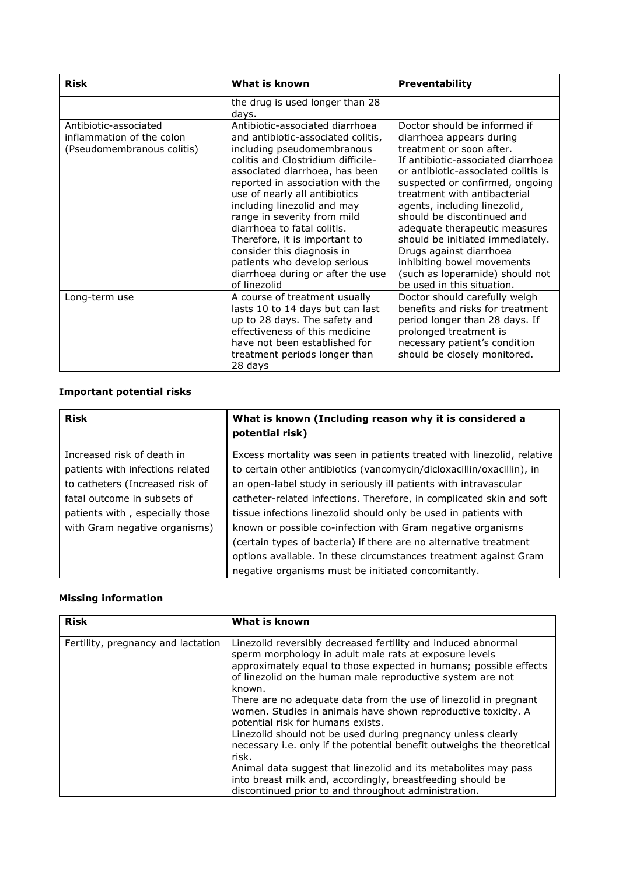| <b>Risk</b>                                                                      | What is known                                                                                                                                                                                                                                                                                                                                                                                                                                                                                     | <b>Preventability</b>                                                                                                                                                                                                                                                                                                                                                                                                                                                                             |
|----------------------------------------------------------------------------------|---------------------------------------------------------------------------------------------------------------------------------------------------------------------------------------------------------------------------------------------------------------------------------------------------------------------------------------------------------------------------------------------------------------------------------------------------------------------------------------------------|---------------------------------------------------------------------------------------------------------------------------------------------------------------------------------------------------------------------------------------------------------------------------------------------------------------------------------------------------------------------------------------------------------------------------------------------------------------------------------------------------|
|                                                                                  | the drug is used longer than 28<br>days.                                                                                                                                                                                                                                                                                                                                                                                                                                                          |                                                                                                                                                                                                                                                                                                                                                                                                                                                                                                   |
| Antibiotic-associated<br>inflammation of the colon<br>(Pseudomembranous colitis) | Antibiotic-associated diarrhoea<br>and antibiotic-associated colitis,<br>including pseudomembranous<br>colitis and Clostridium difficile-<br>associated diarrhoea, has been<br>reported in association with the<br>use of nearly all antibiotics<br>including linezolid and may<br>range in severity from mild<br>diarrhoea to fatal colitis.<br>Therefore, it is important to<br>consider this diagnosis in<br>patients who develop serious<br>diarrhoea during or after the use<br>of linezolid | Doctor should be informed if<br>diarrhoea appears during<br>treatment or soon after.<br>If antibiotic-associated diarrhoea<br>or antibiotic-associated colitis is<br>suspected or confirmed, ongoing<br>treatment with antibacterial<br>agents, including linezolid,<br>should be discontinued and<br>adequate therapeutic measures<br>should be initiated immediately.<br>Drugs against diarrhoea<br>inhibiting bowel movements<br>(such as loperamide) should not<br>be used in this situation. |
| Long-term use                                                                    | A course of treatment usually<br>lasts 10 to 14 days but can last<br>up to 28 days. The safety and<br>effectiveness of this medicine<br>have not been established for<br>treatment periods longer than<br>28 days                                                                                                                                                                                                                                                                                 | Doctor should carefully weigh<br>benefits and risks for treatment<br>period longer than 28 days. If<br>prolonged treatment is<br>necessary patient's condition<br>should be closely monitored.                                                                                                                                                                                                                                                                                                    |

#### **Important potential risks**

| <b>Risk</b>                      | What is known (Including reason why it is considered a<br>potential risk) |
|----------------------------------|---------------------------------------------------------------------------|
| Increased risk of death in       | Excess mortality was seen in patients treated with linezolid, relative    |
| patients with infections related | to certain other antibiotics (vancomycin/dicloxacillin/oxacillin), in     |
| to catheters (Increased risk of  | an open-label study in seriously ill patients with intravascular          |
| fatal outcome in subsets of      | catheter-related infections. Therefore, in complicated skin and soft      |
| patients with, especially those  | tissue infections linezolid should only be used in patients with          |
| with Gram negative organisms)    | known or possible co-infection with Gram negative organisms               |
|                                  | (certain types of bacteria) if there are no alternative treatment         |
|                                  | options available. In these circumstances treatment against Gram          |
|                                  | negative organisms must be initiated concomitantly.                       |

## **Missing information**

| Linezolid reversibly decreased fertility and induced abnormal<br>Fertility, pregnancy and lactation<br>sperm morphology in adult male rats at exposure levels                                                                                                                                                                                                                                                                                                                                                    | <b>Risk</b> | What is known                                                                                                                               |
|------------------------------------------------------------------------------------------------------------------------------------------------------------------------------------------------------------------------------------------------------------------------------------------------------------------------------------------------------------------------------------------------------------------------------------------------------------------------------------------------------------------|-------------|---------------------------------------------------------------------------------------------------------------------------------------------|
| of linezolid on the human male reproductive system are not<br>known.<br>There are no adequate data from the use of linezolid in pregnant<br>women. Studies in animals have shown reproductive toxicity. A<br>potential risk for humans exists.<br>Linezolid should not be used during pregnancy unless clearly<br>risk.<br>Animal data suggest that linezolid and its metabolites may pass<br>into breast milk and, accordingly, breastfeeding should be<br>discontinued prior to and throughout administration. |             | approximately equal to those expected in humans; possible effects<br>necessary i.e. only if the potential benefit outweighs the theoretical |